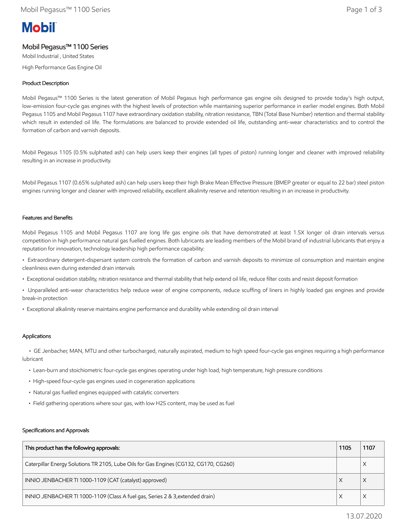# **Mobil**

## Mobil Pegasus™ 1100 Series

Mobil Industrial , United States High Performance Gas Engine Oil

## Product Description

Mobil Pegasus™ 1100 Series is the latest generation of Mobil Pegasus high performance gas engine oils designed to provide today's high output, low-emission four-cycle gas engines with the highest levels of protection while maintaining superior performance in earlier model engines. Both Mobil Pegasus 1105 and Mobil Pegasus 1107 have extraordinary oxidation stability, nitration resistance, TBN (Total Base Number) retention and thermal stability which result in extended oil life. The formulations are balanced to provide extended oil life, outstanding anti-wear characteristics and to control the formation of carbon and varnish deposits.

Mobil Pegasus 1105 (0.5% sulphated ash) can help users keep their engines (all types of piston) running longer and cleaner with improved reliability resulting in an increase in productivity.

Mobil Pegasus 1107 (0.65% sulphated ash) can help users keep their high Brake Mean Effective Pressure (BMEP greater or equal to 22 bar) steel piston engines running longer and cleaner with improved reliability, excellent alkalinity reserve and retention resulting in an increase in productivity.

## Features and Benefits

Mobil Pegasus 1105 and Mobil Pegasus 1107 are long life gas engine oils that have demonstrated at least 1.5X longer oil drain intervals versus competition in high performance natural gas fuelled engines. Both lubricants are leading members of the Mobil brand of industrial lubricants that enjoy a reputation for innovation, technology leadership high performance capability:

• Extraordinary detergent-dispersant system controls the formation of carbon and varnish deposits to minimize oil consumption and maintain engine cleanliness even during extended drain intervals

- Exceptional oxidation stability, nitration resistance and thermal stability that help extend oil life, reduce filter costs and resist deposit formation
- Unparalleled anti-wear characteristics help reduce wear of engine components, reduce scuffing of liners in highly loaded gas engines and provide break-in protection
- Exceptional alkalinity reserve maintains engine performance and durability while extending oil drain interval

## Applications

 • GE Jenbacher, MAN, MTU and other turbocharged, naturally aspirated, medium to high speed four-cycle gas engines requiring a high performance lubricant

- Lean-burn and stoichiometric four-cycle gas engines operating under high load, high temperature, high pressure conditions
- High-speed four-cycle gas engines used in cogeneration applications
- Natural gas fuelled engines equipped with catalytic converters
- Field gathering operations where sour gas, with low H2S content, may be used as fuel

#### Specifications and Approvals

| This product has the following approvals:                                             | 1105 | 1107 |
|---------------------------------------------------------------------------------------|------|------|
| Caterpillar Energy Solutions TR 2105, Lube Oils for Gas Engines (CG132, CG170, CG260) |      |      |
| INNIO JENBACHER TI 1000-1109 (CAT (catalyst) approved)                                |      |      |
| INNIO JENBACHER TI 1000-1109 (Class A fuel gas, Series 2 & 3, extended drain)         |      |      |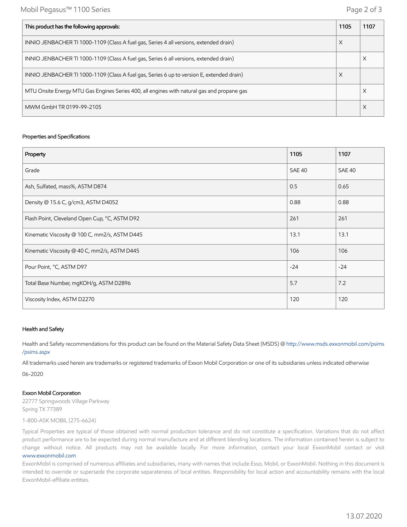| This product has the following approvals:                                                  | 1105 | 1107 |
|--------------------------------------------------------------------------------------------|------|------|
| INNIO JENBACHER TI 1000-1109 (Class A fuel gas, Series 4 all versions, extended drain)     | X    |      |
| INNIO JENBACHER TI 1000-1109 (Class A fuel gas, Series 6 all versions, extended drain)     |      |      |
| INNIO JENBACHER TI 1000-1109 (Class A fuel gas, Series 6 up to version E, extended drain)  | X    |      |
| MTU Onsite Energy MTU Gas Engines Series 400, all engines with natural gas and propane gas |      |      |
| MWM GmbH TR 0199-99-2105                                                                   |      |      |

#### Properties and Specifications

| Property                                      | 1105          | 1107          |
|-----------------------------------------------|---------------|---------------|
| Grade                                         | <b>SAE 40</b> | <b>SAE 40</b> |
| Ash, Sulfated, mass%, ASTM D874               | 0.5           | 0.65          |
| Density @ 15.6 C, g/cm3, ASTM D4052           | 0.88          | 0.88          |
| Flash Point, Cleveland Open Cup, °C, ASTM D92 | 261           | 261           |
| Kinematic Viscosity @ 100 C, mm2/s, ASTM D445 | 13.1          | 13.1          |
| Kinematic Viscosity @ 40 C, mm2/s, ASTM D445  | 106           | 106           |
| Pour Point, °C, ASTM D97                      | $-24$         | $-24$         |
| Total Base Number, mgKOH/g, ASTM D2896        | 5.7           | 7.2           |
| Viscosity Index, ASTM D2270                   | 120           | 120           |

### Health and Safety

Health and Safety recommendations for this product can be found on the Material Safety Data Sheet (MSDS) @ [http://www.msds.exxonmobil.com/psims](http://www.msds.exxonmobil.com/psims/psims.aspx) /psims.aspx

All trademarks used herein are trademarks or registered trademarks of Exxon Mobil Corporation or one of its subsidiaries unless indicated otherwise

06-2020

#### Exxon Mobil Corporation

22777 Springwoods Village Parkway Spring TX 77389

1-800-ASK MOBIL (275-6624)

Typical Properties are typical of those obtained with normal production tolerance and do not constitute a specification. Variations that do not affect product performance are to be expected during normal manufacture and at different blending locations. The information contained herein is subject to change without notice. All products may not be available locally. For more information, contact your local ExxonMobil contact or visit [www.exxonmobil.com](http://www.exxonmobil.com/)

ExxonMobil is comprised of numerous affiliates and subsidiaries, many with names that include Esso, Mobil, or ExxonMobil. Nothing in this document is intended to override or supersede the corporate separateness of local entities. Responsibility for local action and accountability remains with the local ExxonMobil-affiliate entities.